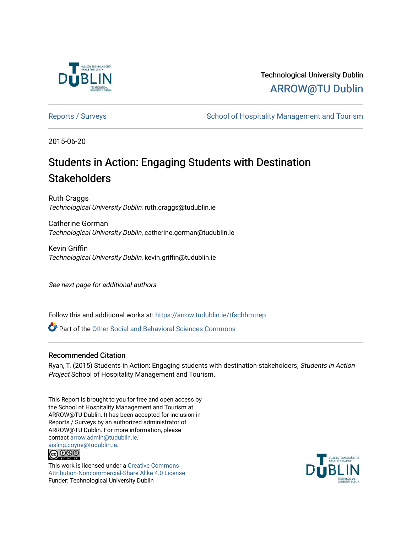

# Technological University Dublin [ARROW@TU Dublin](https://arrow.tudublin.ie/)

[Reports / Surveys](https://arrow.tudublin.ie/tfschhmtrep) The School of Hospitality Management and Tourism

2015-06-20

# Students in Action: Engaging Students with Destination **Stakeholders**

Ruth Craggs Technological University Dublin, ruth.craggs@tudublin.ie

Catherine Gorman Technological University Dublin, catherine.gorman@tudublin.ie

Kevin Griffin Technological University Dublin, kevin.griffin@tudublin.ie

See next page for additional authors

Follow this and additional works at: [https://arrow.tudublin.ie/tfschhmtrep](https://arrow.tudublin.ie/tfschhmtrep?utm_source=arrow.tudublin.ie%2Ftfschhmtrep%2F21&utm_medium=PDF&utm_campaign=PDFCoverPages)

**P** Part of the [Other Social and Behavioral Sciences Commons](http://network.bepress.com/hgg/discipline/437?utm_source=arrow.tudublin.ie%2Ftfschhmtrep%2F21&utm_medium=PDF&utm_campaign=PDFCoverPages)

## Recommended Citation

Ryan, T. (2015) Students in Action: Engaging students with destination stakeholders, Students in Action Project School of Hospitality Management and Tourism.

This Report is brought to you for free and open access by the School of Hospitality Management and Tourism at ARROW@TU Dublin. It has been accepted for inclusion in Reports / Surveys by an authorized administrator of ARROW@TU Dublin. For more information, please contact [arrow.admin@tudublin.ie,](mailto:arrow.admin@tudublin.ie,%20aisling.coyne@tudublin.ie)  [aisling.coyne@tudublin.ie.](mailto:arrow.admin@tudublin.ie,%20aisling.coyne@tudublin.ie)



This work is licensed under a [Creative Commons](http://creativecommons.org/licenses/by-nc-sa/4.0/) [Attribution-Noncommercial-Share Alike 4.0 License](http://creativecommons.org/licenses/by-nc-sa/4.0/) Funder: Technological University Dublin

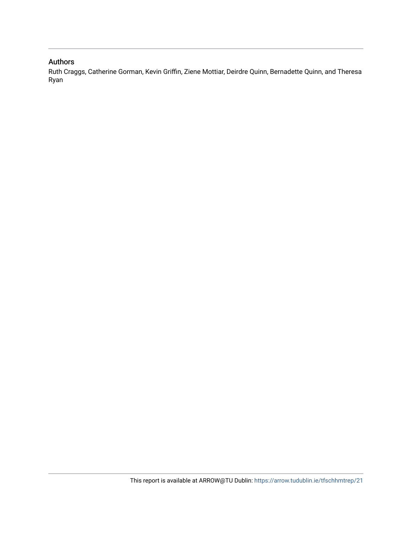# Authors

Ruth Craggs, Catherine Gorman, Kevin Griffin, Ziene Mottiar, Deirdre Quinn, Bernadette Quinn, and Theresa Ryan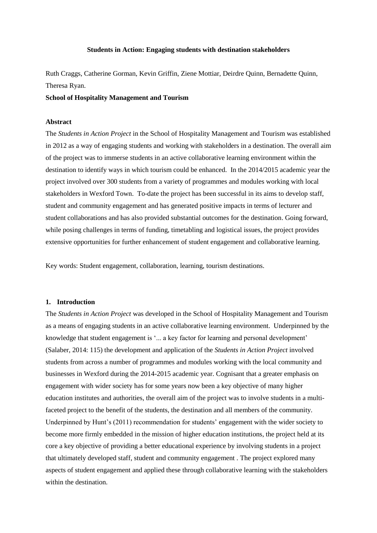#### **Students in Action: Engaging students with destination stakeholders**

Ruth Craggs, Catherine Gorman, Kevin Griffin, Ziene Mottiar, Deirdre Quinn, Bernadette Quinn, Theresa Ryan.

#### **School of Hospitality Management and Tourism**

#### **Abstract**

The *Students in Action Project* in the School of Hospitality Management and Tourism was established in 2012 as a way of engaging students and working with stakeholders in a destination. The overall aim of the project was to immerse students in an active collaborative learning environment within the destination to identify ways in which tourism could be enhanced. In the 2014/2015 academic year the project involved over 300 students from a variety of programmes and modules working with local stakeholders in Wexford Town. To-date the project has been successful in its aims to develop staff, student and community engagement and has generated positive impacts in terms of lecturer and student collaborations and has also provided substantial outcomes for the destination. Going forward, while posing challenges in terms of funding, timetabling and logistical issues, the project provides extensive opportunities for further enhancement of student engagement and collaborative learning.

Key words: Student engagement, collaboration, learning, tourism destinations.

#### **1. Introduction**

The *Students in Action Project* was developed in the School of Hospitality Management and Tourism as a means of engaging students in an active collaborative learning environment. Underpinned by the knowledge that student engagement is '... a key factor for learning and personal development' (Salaber, 2014: 115) the development and application of the *Students in Action Project* involved students from across a number of programmes and modules working with the local community and businesses in Wexford during the 2014-2015 academic year. Cognisant that a greater emphasis on engagement with wider society has for some years now been a key objective of many higher education institutes and authorities, the overall aim of the project was to involve students in a multifaceted project to the benefit of the students, the destination and all members of the community. Underpinned by Hunt's (2011) recommendation for students' engagement with the wider society to become more firmly embedded in the mission of higher education institutions, the project held at its core a key objective of providing a better educational experience by involving students in a project that ultimately developed staff, student and community engagement . The project explored many aspects of student engagement and applied these through collaborative learning with the stakeholders within the destination.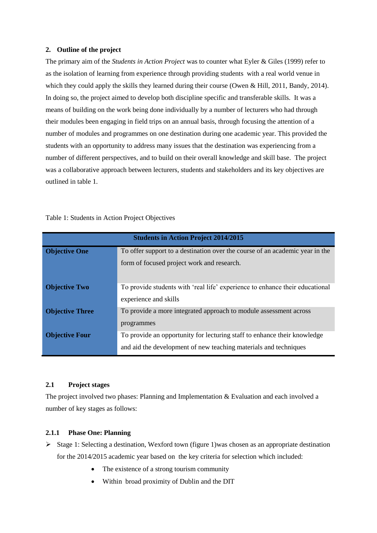#### **2. Outline of the project**

The primary aim of the *Students in Action Project* was to counter what Eyler & Giles (1999) refer to as the isolation of learning from experience through providing students with a real world venue in which they could apply the skills they learned during their course (Owen & Hill, 2011, Bandy, 2014). In doing so, the project aimed to develop both discipline specific and transferable skills. It was a means of building on the work being done individually by a number of lecturers who had through their modules been engaging in field trips on an annual basis, through focusing the attention of a number of modules and programmes on one destination during one academic year. This provided the students with an opportunity to address many issues that the destination was experiencing from a number of different perspectives, and to build on their overall knowledge and skill base. The project was a collaborative approach between lecturers, students and stakeholders and its key objectives are outlined in table 1.

| <b>Students in Action Project 2014/2015</b> |                                                                              |
|---------------------------------------------|------------------------------------------------------------------------------|
| <b>Objective One</b>                        | To offer support to a destination over the course of an academic year in the |
|                                             | form of focused project work and research.                                   |
|                                             |                                                                              |
| <b>Objective Two</b>                        | To provide students with 'real life' experience to enhance their educational |
|                                             | experience and skills                                                        |
| <b>Objective Three</b>                      | To provide a more integrated approach to module assessment across            |
|                                             | programmes                                                                   |
| <b>Objective Four</b>                       | To provide an opportunity for lecturing staff to enhance their knowledge     |
|                                             | and aid the development of new teaching materials and techniques             |

Table 1: Students in Action Project Objectives

#### **2.1 Project stages**

The project involved two phases: Planning and Implementation & Evaluation and each involved a number of key stages as follows:

## **2.1.1 Phase One: Planning**

- $\triangleright$  Stage 1: Selecting a destination, Wexford town (figure 1) was chosen as an appropriate destination for the 2014/2015 academic year based on the key criteria for selection which included:
	- The existence of a strong tourism community
	- Within broad proximity of Dublin and the DIT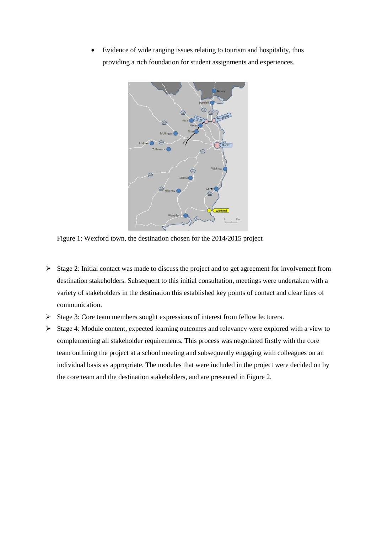Evidence of wide ranging issues relating to tourism and hospitality, thus providing a rich foundation for student assignments and experiences.



Figure 1: Wexford town, the destination chosen for the 2014/2015 project

- $\triangleright$  Stage 2: Initial contact was made to discuss the project and to get agreement for involvement from destination stakeholders. Subsequent to this initial consultation, meetings were undertaken with a variety of stakeholders in the destination this established key points of contact and clear lines of communication.
- $\triangleright$  Stage 3: Core team members sought expressions of interest from fellow lecturers.
- $\triangleright$  Stage 4: Module content, expected learning outcomes and relevancy were explored with a view to complementing all stakeholder requirements. This process was negotiated firstly with the core team outlining the project at a school meeting and subsequently engaging with colleagues on an individual basis as appropriate. The modules that were included in the project were decided on by the core team and the destination stakeholders, and are presented in Figure 2.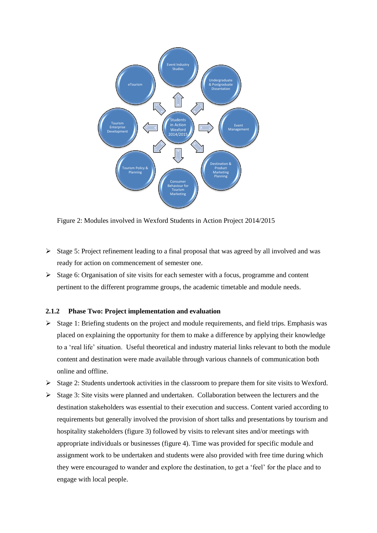

Figure 2: Modules involved in Wexford Students in Action Project 2014/2015

- $\triangleright$  Stage 5: Project refinement leading to a final proposal that was agreed by all involved and was ready for action on commencement of semester one.
- $\triangleright$  Stage 6: Organisation of site visits for each semester with a focus, programme and content pertinent to the different programme groups, the academic timetable and module needs.

#### **2.1.2 Phase Two: Project implementation and evaluation**

- $\triangleright$  Stage 1: Briefing students on the project and module requirements, and field trips. Emphasis was placed on explaining the opportunity for them to make a difference by applying their knowledge to a 'real life' situation. Useful theoretical and industry material links relevant to both the module content and destination were made available through various channels of communication both online and offline.
- $\triangleright$  Stage 2: Students undertook activities in the classroom to prepare them for site visits to Wexford.
- $\triangleright$  Stage 3: Site visits were planned and undertaken. Collaboration between the lecturers and the destination stakeholders was essential to their execution and success. Content varied according to requirements but generally involved the provision of short talks and presentations by tourism and hospitality stakeholders (figure 3) followed by visits to relevant sites and/or meetings with appropriate individuals or businesses (figure 4). Time was provided for specific module and assignment work to be undertaken and students were also provided with free time during which they were encouraged to wander and explore the destination, to get a 'feel' for the place and to engage with local people.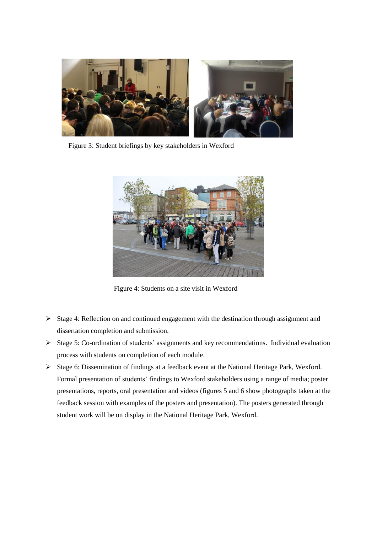

Figure 3: Student briefings by key stakeholders in Wexford



Figure 4: Students on a site visit in Wexford

- $\triangleright$  Stage 4: Reflection on and continued engagement with the destination through assignment and dissertation completion and submission.
- Stage 5: Co-ordination of students' assignments and key recommendations. Individual evaluation process with students on completion of each module.
- Stage 6: Dissemination of findings at a feedback event at the National Heritage Park, Wexford. Formal presentation of students' findings to Wexford stakeholders using a range of media; poster presentations, reports, oral presentation and videos (figures 5 and 6 show photographs taken at the feedback session with examples of the posters and presentation). The posters generated through student work will be on display in the National Heritage Park, Wexford.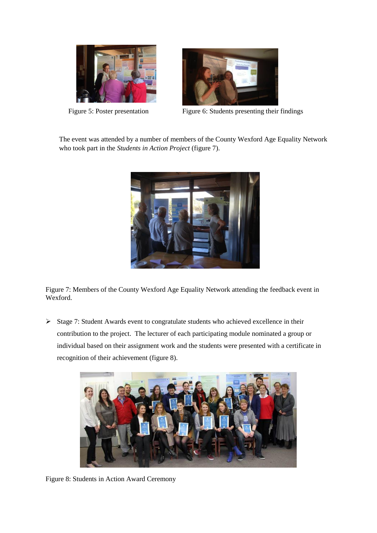



Figure 5: Poster presentation Figure 6: Students presenting their findings

The event was attended by a number of members of the County Wexford Age Equality Network who took part in the *Students in Action Project* (figure 7).



Figure 7: Members of the County Wexford Age Equality Network attending the feedback event in Wexford.

 $\triangleright$  Stage 7: Student Awards event to congratulate students who achieved excellence in their contribution to the project. The lecturer of each participating module nominated a group or individual based on their assignment work and the students were presented with a certificate in recognition of their achievement (figure 8).



Figure 8: Students in Action Award Ceremony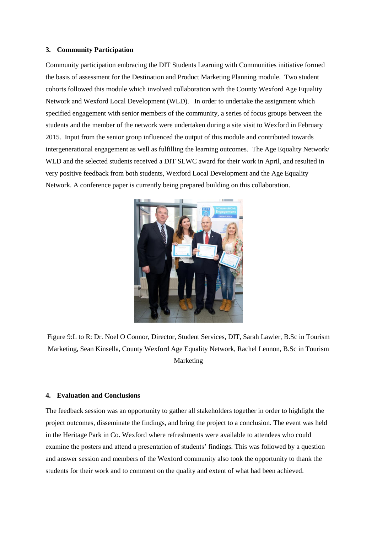#### **3. Community Participation**

Community participation embracing the DIT Students Learning with Communities initiative formed the basis of assessment for the Destination and Product Marketing Planning module. Two student cohorts followed this module which involved collaboration with the County Wexford Age Equality Network and Wexford Local Development (WLD). In order to undertake the assignment which specified engagement with senior members of the community, a series of focus groups between the students and the member of the network were undertaken during a site visit to Wexford in February 2015. Input from the senior group influenced the output of this module and contributed towards intergenerational engagement as well as fulfilling the learning outcomes. The Age Equality Network/ WLD and the selected students received a DIT SLWC award for their work in April, and resulted in very positive feedback from both students, Wexford Local Development and the Age Equality Network. A conference paper is currently being prepared building on this collaboration.



Figure 9:L to R: Dr. Noel O Connor, Director, Student Services, DIT, Sarah Lawler, B.Sc in Tourism Marketing, Sean Kinsella, County Wexford Age Equality Network, Rachel Lennon, B.Sc in Tourism Marketing

#### **4. Evaluation and Conclusions**

The feedback session was an opportunity to gather all stakeholders together in order to highlight the project outcomes, disseminate the findings, and bring the project to a conclusion. The event was held in the Heritage Park in Co. Wexford where refreshments were available to attendees who could examine the posters and attend a presentation of students' findings. This was followed by a question and answer session and members of the Wexford community also took the opportunity to thank the students for their work and to comment on the quality and extent of what had been achieved.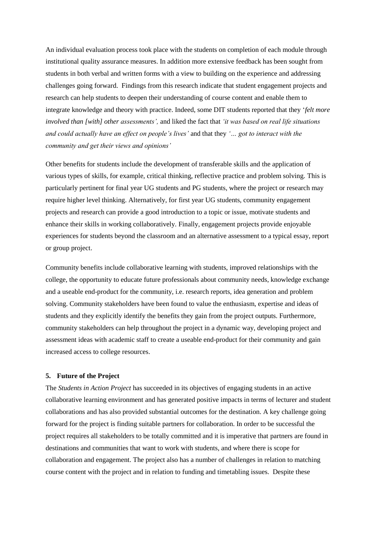An individual evaluation process took place with the students on completion of each module through institutional quality assurance measures. In addition more extensive feedback has been sought from students in both verbal and written forms with a view to building on the experience and addressing challenges going forward. Findings from this research indicate that student engagement projects and research can help students to deepen their understanding of course content and enable them to integrate knowledge and theory with practice. Indeed, some DIT students reported that they '*felt more involved than [with] other assessments',* and liked the fact that *'it was based on real life situations and could actually have an effect on people's lives'* and that they *'… got to interact with the community and get their views and opinions'*

Other benefits for students include the development of transferable skills and the application of various types of skills, for example, critical thinking, reflective practice and problem solving. This is particularly pertinent for final year UG students and PG students, where the project or research may require higher level thinking. Alternatively, for first year UG students, community engagement projects and research can provide a good introduction to a topic or issue, motivate students and enhance their skills in working collaboratively. Finally, engagement projects provide enjoyable experiences for students beyond the classroom and an alternative assessment to a typical essay, report or group project.

Community benefits include collaborative learning with students, improved relationships with the college, the opportunity to educate future professionals about community needs, knowledge exchange and a useable end-product for the community, i.e. research reports, idea generation and problem solving. Community stakeholders have been found to value the enthusiasm, expertise and ideas of students and they explicitly identify the benefits they gain from the project outputs. Furthermore, community stakeholders can help throughout the project in a dynamic way, developing project and assessment ideas with academic staff to create a useable end-product for their community and gain increased access to college resources.

#### **5. Future of the Project**

The *Students in Action Project* has succeeded in its objectives of engaging students in an active collaborative learning environment and has generated positive impacts in terms of lecturer and student collaborations and has also provided substantial outcomes for the destination. A key challenge going forward for the project is finding suitable partners for collaboration. In order to be successful the project requires all stakeholders to be totally committed and it is imperative that partners are found in destinations and communities that want to work with students, and where there is scope for collaboration and engagement. The project also has a number of challenges in relation to matching course content with the project and in relation to funding and timetabling issues. Despite these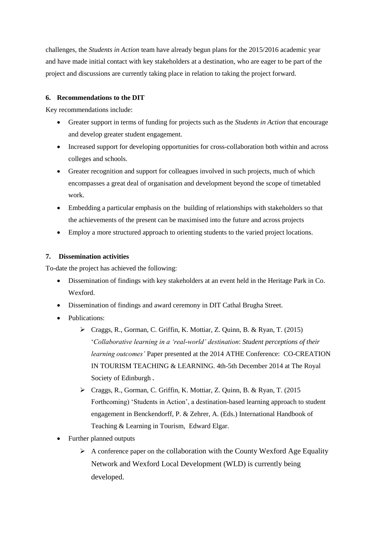challenges, the *Students in Action* team have already begun plans for the 2015/2016 academic year and have made initial contact with key stakeholders at a destination, who are eager to be part of the project and discussions are currently taking place in relation to taking the project forward.

# **6. Recommendations to the DIT**

Key recommendations include:

- Greater support in terms of funding for projects such as the *Students in Action* that encourage and develop greater student engagement*.*
- Increased support for developing opportunities for cross-collaboration both within and across colleges and schools.
- Greater recognition and support for colleagues involved in such projects, much of which encompasses a great deal of organisation and development beyond the scope of timetabled work.
- Embedding a particular emphasis on the building of relationships with stakeholders so that the achievements of the present can be maximised into the future and across projects
- Employ a more structured approach to orienting students to the varied project locations.

# **7. Dissemination activities**

To-date the project has achieved the following:

- Dissemination of findings with key stakeholders at an event held in the Heritage Park in Co. Wexford.
- Dissemination of findings and award ceremony in DIT Cathal Brugha Street.
- Publications:
	- Craggs, R., Gorman, C. Griffin, K. Mottiar, Z. Quinn, B. & Ryan, T. (2015) '*Collaborative learning in a 'real-world' destination*: *Student perceptions of their learning outcomes'* Paper presented at the 2014 ATHE Conference: CO-CREATION IN TOURISM TEACHING & LEARNING. 4th-5th December 2014 at The Royal Society of Edinburgh **.**
	- Craggs, R., Gorman, C. Griffin, K. Mottiar, Z. Quinn, B. & Ryan, T. (2015 Forthcoming) 'Students in Action', a destination-based learning approach to student engagement in Benckendorff, P. & Zehrer, A. (Eds.) International Handbook of Teaching & Learning in Tourism, Edward Elgar.
- Further planned outputs
	- $\triangleright$  A conference paper on the collaboration with the County Wexford Age Equality Network and Wexford Local Development (WLD) is currently being developed.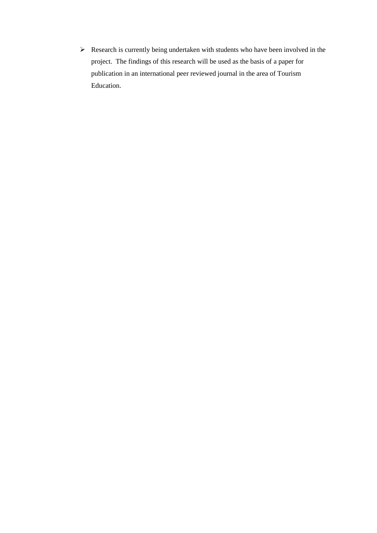$\triangleright$  Research is currently being undertaken with students who have been involved in the project. The findings of this research will be used as the basis of a paper for publication in an international peer reviewed journal in the area of Tourism Education.